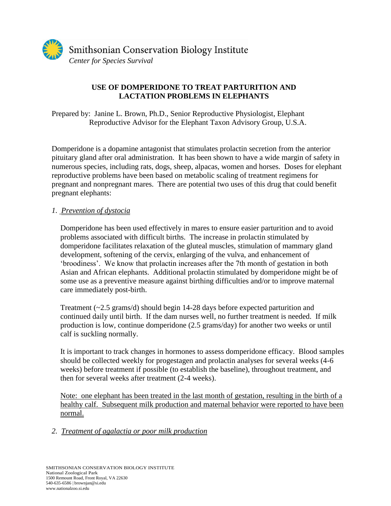

## **USE OF DOMPERIDONE TO TREAT PARTURITION AND LACTATION PROBLEMS IN ELEPHANTS**

Prepared by: Janine L. Brown, Ph.D., Senior Reproductive Physiologist, Elephant Reproductive Advisor for the Elephant Taxon Advisory Group, U.S.A.

Domperidone is a dopamine antagonist that stimulates prolactin secretion from the anterior pituitary gland after oral administration. It has been shown to have a wide margin of safety in numerous species, including rats, dogs, sheep, alpacas, women and horses. Doses for elephant reproductive problems have been based on metabolic scaling of treatment regimens for pregnant and nonpregnant mares. There are potential two uses of this drug that could benefit pregnant elephants:

## *1. Prevention of dystocia*

Domperidone has been used effectively in mares to ensure easier parturition and to avoid problems associated with difficult births. The increase in prolactin stimulated by domperidone facilitates relaxation of the gluteal muscles, stimulation of mammary gland development, softening of the cervix, enlarging of the vulva, and enhancement of 'broodiness'. We know that prolactin increases after the 7th month of gestation in both Asian and African elephants. Additional prolactin stimulated by domperidone might be of some use as a preventive measure against birthing difficulties and/or to improve maternal care immediately post-birth.

Treatment (~2.5 grams/d) should begin 14-28 days before expected parturition and continued daily until birth. If the dam nurses well, no further treatment is needed. If milk production is low, continue domperidone (2.5 grams/day) for another two weeks or until calf is suckling normally.

It is important to track changes in hormones to assess domperidone efficacy. Blood samples should be collected weekly for progestagen and prolactin analyses for several weeks (4-6 weeks) before treatment if possible (to establish the baseline), throughout treatment, and then for several weeks after treatment (2-4 weeks).

Note: one elephant has been treated in the last month of gestation, resulting in the birth of a healthy calf. Subsequent milk production and maternal behavior were reported to have been normal.

## *2. Treatment of agalactia or poor milk production*